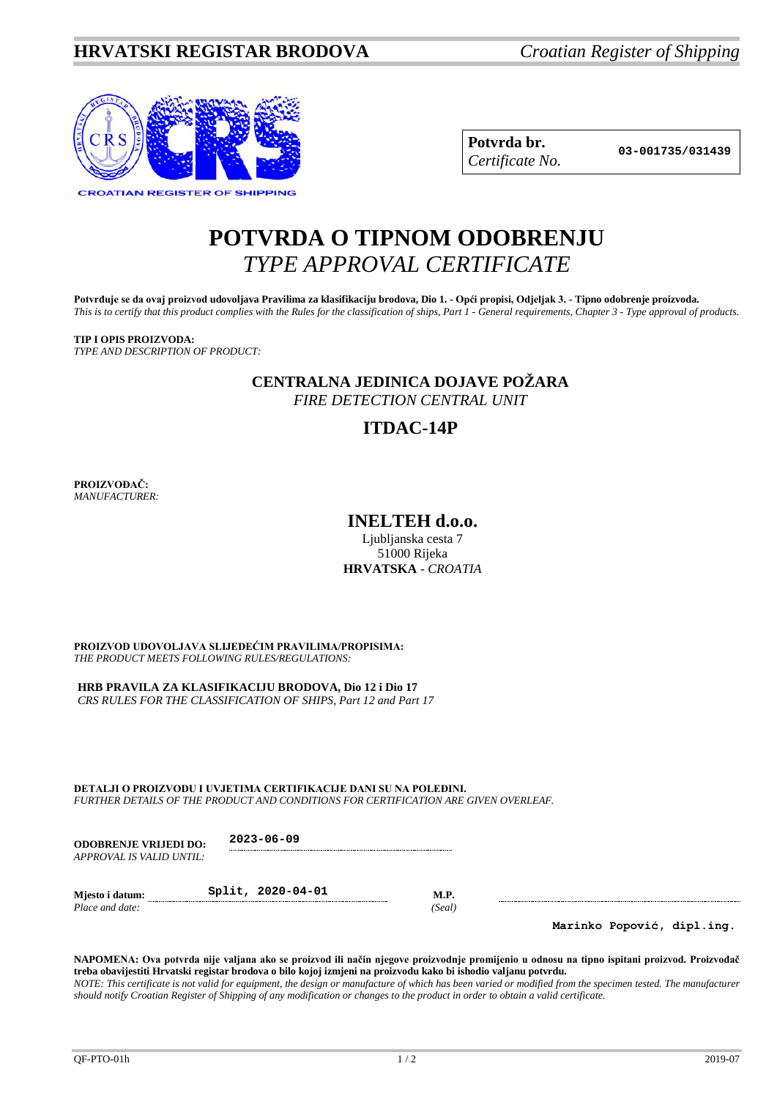

| Potvrda br.     |
|-----------------|
| Certificate No. |

**Potvrda br. 03-001735/031439** *Certificate No.*

## **POTVRDA O TIPNOM ODOBRENJU** *TYPE APPROVAL CERTIFICATE*

**Potvrđuje se da ovaj proizvod udovoljava Pravilima za klasifikaciju brodova, Dio 1. - Opći propisi, Odjeljak 3. - Tipno odobrenje proizvoda.** *This is to certify that this product complies with the Rules for the classification of ships, Part 1 - General requirements, Chapter 3 - Type approval of products.*

#### **TIP I OPIS PROIZVODA:** *TYPE AND DESCRIPTION OF PRODUCT:*

**CENTRALNA JEDINICA DOJAVE POŽARA**

*FIRE DETECTION CENTRAL UNIT*

### **ITDAC-14P**

**PROIZVOĐAČ:** *MANUFACTURER:*

**INELTEH d.o.o.**

Ljublianska cesta 7 51000 Rijeka **HRVATSKA** - *CROATIA*

**PROIZVOD UDOVOLJAVA SLIJEDEĆIM PRAVILIMA/PROPISIMA:** *THE PRODUCT MEETS FOLLOWING RULES/REGULATIONS:*

**HRB PRAVILA ZA KLASIFIKACIJU BRODOVA, Dio 12 i Dio 17**

*CRS RULES FOR THE CLASSIFICATION OF SHIPS, Part 12 and Part 17*

**DETALJI O PROIZVODU I UVJETIMA CERTIFIKACIJE DANI SU NA POLEĐINI.** *FURTHER DETAILS OF THE PRODUCT AND CONDITIONS FOR CERTIFICATION ARE GIVEN OVERLEAF.*

**ODOBRENJE VRIJEDI DO: 2023-06-09** *APPROVAL IS VALID UNTIL:*

*Place and date:* 

**Mjesto i datum: Split, 2020-04-01 M.P.**<br>*Place and date:* (*Seal*)

**Marinko Popović, dipl.ing.**

**NAPOMENA: Ova potvrda nije valjana ako se proizvod ili način njegove proizvodnje promijenio u odnosu na tipno ispitani proizvod. Proizvođač treba obavijestiti Hrvatski registar brodova o bilo kojoj izmjeni na proizvodu kako bi ishodio valjanu potvrdu.**

*NOTE: This certificate is not valid for equipment, the design or manufacture of which has been varied or modified from the specimen tested. The manufacturer should notify Croatian Register of Shipping of any modification or changes to the product in order to obtain a valid certificate.*